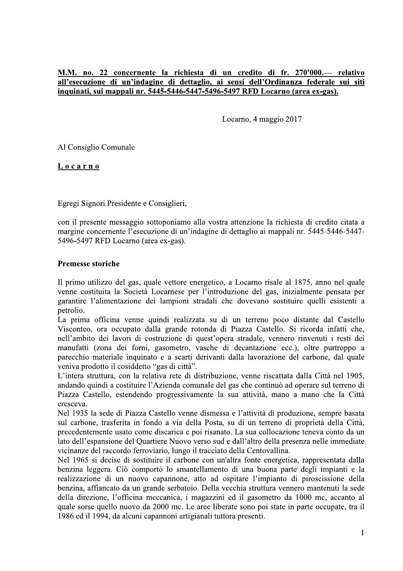# <u>M.M. no. 22 concernente la richiesta di un credito di fr. 270'000.— rel</u> M.M. no. 22 concernente la richiesta di un credito di fr. 270'000.— relativo<br>all'esecuzione di un'indagine di dettaglio, ai sensi dell'Ordinanza federale sui siti<br>inquinati, sui mappali nr. 5445-5446-5447-5496-5497 RFD Loc all'esecuzione di un'indagine di dettaglio, ai sensi dell'Ordinanza federale sui siti <u>inquinati, sui mappali nr. 5445-5446-5447-5496-5497 RFD Locarno (area ex-gas).</u>

Locarno, 4 maggio 2017

Al Consiglio Comunale

<u>Locarno</u>

Egregi Signori Presidente e Consiglieri,

 $\overline{a}$  con il presente messaggio sottoponiamo alla vostra attenzione la richiesta di credito citata a margine concernente l'esecuzione di un'indagine di dettaglio ai mappali nr. 5445-5446-5447-5496-5497 RFD Locarno (area ex-gas).

### Premesse storiche

 $\mathbb{R}^2$ Il primo utilizzo del gas, quale vettore energetico, a Locarno risale al  $18/5$ , anno nel quale venne costituita la Società Locarnese per l'introduzione del gas, inizialmente pensata per garantire l'alimentazione dei lampioni stradali che dovevano sostituire quelli esistenti a petrolio.

La prima officina venne quindi realizzata su di un terreno poco distante dal Castello Visconteo, ora occupato dalla grande rotonda di Piazza Castello. Si ricorda infatti che, nell'ambito dei lavori di costruzione di quest'opera stradale, vennero rinvenuti i resti dei manufatti (zona dei forni, gasometro, vasche di decantazione ecc.), oltre purtroppo a parecchio materiale inquinato e a scarti derivanti dalla lavorazione del carbone, dal quale veniva prodotto il cosiddetto "gas di città".

L'intera struttura, con la relativa rete di distribuzione, venne riscattata dalla Città nel 1905, andando quindi a costituire l'Azienda comunale del gas che continuò ad operare sul terreno di Piazza Castello, estendendo progressivamente la sua attività, mano a mano che la Città cresceva.

Nel 1935 la sede di Piazza Castello venne dismessa e l'attività di produzione, sempre basata sul carbone, trasferita in fondo a via della Posta, su di un terreno di proprietà della Città, precedentemente usato come discarica e poi risanato. La sua collocazione teneva conto da un lato dell'espansione del Quartiere Nuovo verso sud e dall'altro della presenza nelle immediate vicinanze del raccordo ferroviario, lungo il tracciato della Centovallina.

Nel 1965 si decise di sostituire il carbone con un'altra fonte energetica, rappresentata dalla benzina leggera. Ciò comportò lo smantellamento di una buona parte degli impianti e la realizzazione di un nuovo capannone, atto ad ospitare l'impianto di piroscissione della benzina, affiancato da un grande serbatoio. Della vecchia struttura vennero mantenuti la sede della direzione, l'officina meccanica, i magazzini ed il gasometro da  $1000$  mc, accanto al quale sorse quello nuovo da 2000 mc. Le aree liberate sono poi state in parte occupate, tra il 1986 ed il 1994, da alcuni capannoni artigianali tuttora presenti.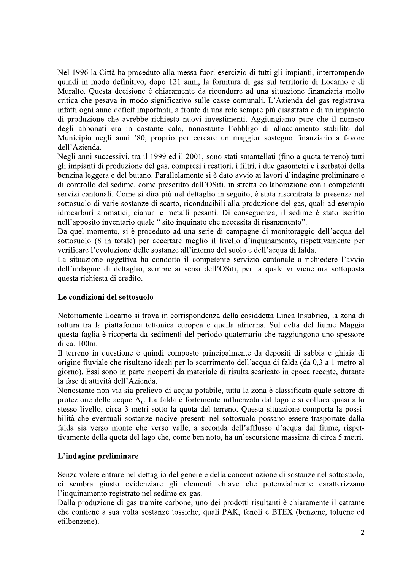Nel 1996 la Città ha proceduto alla messa fuori esercizio di tutti gli impianti, interrompendo quindi in modo definitivo, dopo 121 anni, la fornitura di gas sul territorio di Locarno e di Muralto. Questa decisione è chiaramente da ricondurre ad una situazione finanziaria molto critica che pesava in modo significativo sulle casse comunali. L'Azienda del gas registrava infatti ogni anno deficit importanti, a fronte di una rete sempre più disastrata e di un impianto di produzione che avrebbe richiesto nuovi investimenti. Aggiungiamo pure che il numero degli abbonati era in costante calo, nonostante l'obbligo di allacciamento stabilito dal Municipio negli anni '80, proprio per cercare un maggior sostegno finanziario a favore dell'Azienda.

Negli anni successivi, tra il 1999 ed il 2001, sono stati smantellati (fino a quota terreno) tutti gli impianti di produzione del gas, compresi i reattori, i filtri, i due gasometri e i serbatoi della benzina leggera e del butano. Parallelamente si è dato avvio ai lavori d'indagine preliminare e di controllo del sedime, come prescritto dall'OSiti, in stretta collaborazione con i competenti servizi cantonali. Come si dirà più nel dettaglio in seguito, è stata riscontrata la presenza nel sottosuolo di varie sostanze di scarto, riconducibili alla produzione del gas, quali ad esempio idrocarburi aromatici, cianuri e metalli pesanti. Di conseguenza, il sedime è stato iscritto nell'apposito inventario quale " sito inquinato che necessita di risanamento".

Da quel momento, si è proceduto ad una serie di campagne di monitoraggio dell'acqua del sottosuolo (8 in totale) per accertare meglio il livello d'inquinamento, rispettivamente per verificare l'evoluzione delle sostanze all'interno del suolo e dell'acqua di falda.

La situazione oggettiva ha condotto il competente servizio cantonale a richiedere l'avvio dell'indagine di dettaglio, sempre ai sensi dell'OSiti, per la quale vi viene ora sottoposta questa richiesta di credito.

#### Le condizioni del sottosuolo

Notoriamente Locarno si trova in corrispondenza della cosiddetta Linea Insubrica, la zona di rottura tra la piattaforma tettonica europea e quella africana. Sul delta del fiume Maggia questa faglia è ricoperta da sedimenti del periodo quaternario che raggiungono uno spessore di ca. 100m.

Il terreno in questione è quindi composto principalmente da depositi di sabbia e ghiaia di origine fluviale che risultano ideali per lo scorrimento dell'acqua di falda (da 0,3 a 1 metro al giorno). Essi sono in parte ricoperti da materiale di risulta scaricato in epoca recente, durante la fase di attività dell'Azienda.

Nonostante non via sia prelievo di acqua potabile, tutta la zona è classificata quale settore di protezione delle acque A<sub>u</sub>. La falda è fortemente influenzata dal lago e si colloca quasi allo stesso livello, circa 3 metri sotto la quota del terreno. Questa situazione comporta la possibilità che eventuali sostanze nocive presenti nel sottosuolo possano essere trasportate dalla falda sia verso monte che verso valle, a seconda dell'afflusso d'acqua dal fiume, rispettivamente della quota del lago che, come ben noto, ha un'escursione massima di circa 5 metri.

#### L'indagine preliminare

Senza volere entrare nel dettaglio del genere e della concentrazione di sostanze nel sottosuolo, ci sembra giusto evidenziare gli elementi chiave che potenzialmente caratterizzano l'inquinamento registrato nel sedime ex-gas.

Dalla produzione di gas tramite carbone, uno dei prodotti risultanti è chiaramente il catrame che contiene a sua volta sostanze tossiche, quali PAK, fenoli e BTEX (benzene, toluene ed etilbenzene).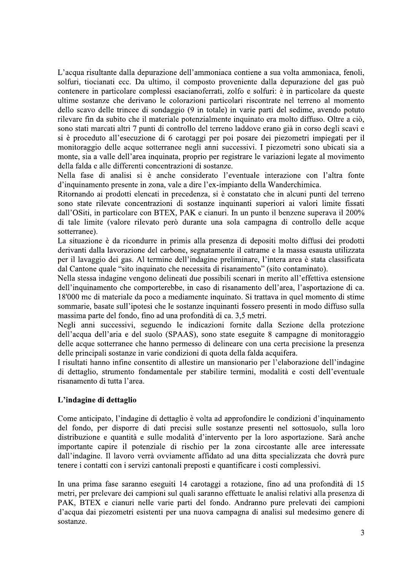L'acqua risultante dalla depurazione dell'ammoniaca contiene a sua volta ammoniaca, fenoli, solfuri, tiocianati ecc. Da ultimo, il composto proveniente dalla depurazione del gas può contenere in particolare complessi esacianoferrati, zolfo e solfuri: è in particolare da queste ultime sostanze che derivano le colorazioni particolari riscontrate nel terreno al momento dello scavo delle trincee di sondaggio (9 in totale) in varie parti del sedime, avendo potuto rilevare fin da subito che il materiale potenzialmente inquinato era molto diffuso. Oltre a ciò, sono stati marcati altri 7 punti di controllo del terreno laddove erano già in corso degli scavi e si è proceduto all'esecuzione di 6 carotaggi per poi posare dei piezometri impiegati per il monitoraggio delle acque sotterranee negli anni successivi. I piezometri sono ubicati sia a monte, sia a valle dell'area inquinata, proprio per registrare le variazioni legate al movimento della falda e alle differenti concentrazioni di sostanze.

Nella fase di analisi si è anche considerato l'eventuale interazione con l'altra fonte d'inquinamento presente in zona, vale a dire l'ex-impianto della Wanderchimica.

Ritornando ai prodotti elencati in precedenza, si è constatato che in alcuni punti del terreno sono state rilevate concentrazioni di sostanze inquinanti superiori ai valori limite fissati dall'OSiti, in particolare con BTEX, PAK e cianuri. In un punto il benzene superava il 200% di tale limite (valore rilevato però durante una sola campagna di controllo delle acque sotterranee).

La situazione è da ricondurre in primis alla presenza di depositi molto diffusi dei prodotti derivanti dalla lavorazione del carbone, segnatamente il catrame e la massa esausta utilizzata per il lavaggio dei gas. Al termine dell'indagine preliminare, l'intera area è stata classificata dal Cantone quale "sito inquinato che necessita di risanamento" (sito contaminato).

Nella stessa indagine vengono delineati due possibili scenari in merito all'effettiva estensione dell'inquinamento che comporterebbe, in caso di risanamento dell'area, l'asportazione di ca. 18'000 mc di materiale da poco a mediamente inquinato. Si trattava in quel momento di stime sommarie, basate sull'ipotesi che le sostanze inquinanti fossero presenti in modo diffuso sulla massima parte del fondo, fino ad una profondità di ca. 3,5 metri.

Negli anni successivi, seguendo le indicazioni fornite dalla Sezione della protezione dell'acqua dell'aria e del suolo (SPAAS), sono state eseguite 8 campagne di monitoraggio delle acque sotterranee che hanno permesso di delineare con una certa precisione la presenza delle principali sostanze in varie condizioni di quota della falda acquifera.

I risultati hanno infine consentito di allestire un mansionario per l'elaborazione dell'indagine di dettaglio, strumento fondamentale per stabilire termini, modalità e costi dell'eventuale risanamento di tutta l'area.

#### L'indagine di dettaglio

Come anticipato, l'indagine di dettaglio è volta ad approfondire le condizioni d'inquinamento del fondo, per disporre di dati precisi sulle sostanze presenti nel sottosuolo, sulla loro distribuzione e quantità e sulle modalità d'intervento per la loro asportazione. Sarà anche importante capire il potenziale di rischio per la zona circostante alle aree interessate dall'indagine. Il lavoro verrà ovviamente affidato ad una ditta specializzata che dovrà pure tenere i contatti con i servizi cantonali preposti e quantificare i costi complessivi.

In una prima fase saranno eseguiti 14 carotaggi a rotazione, fino ad una profondità di 15 metri, per prelevare dei campioni sul quali saranno effettuate le analisi relativi alla presenza di PAK, BTEX e cianuri nelle varie parti del fondo. Andranno pure prelevati dei campioni d'acqua dai piezometri esistenti per una nuova campagna di analisi sul medesimo genere di sostanze.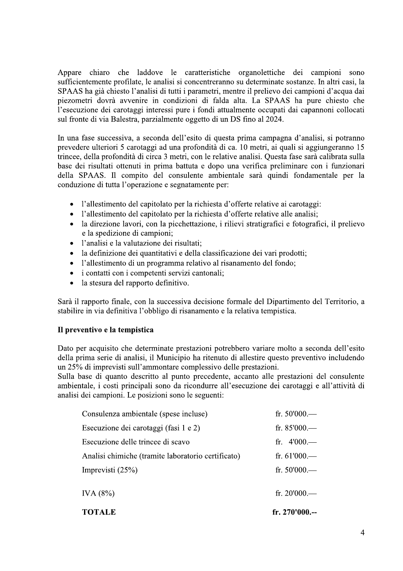Appare chiaro che laddove le caratteristiche organolettiche dei campioni sono sufficientemente profilate, le analisi si concentreranno su determinate sostanze. In altri casi, la SPAAS ha già chiesto l'analisi di tutti i parametri, mentre il prelievo dei campioni d'acqua dai piezometri dovrà avvenire in condizioni di falda alta. La SPAAS ha pure chiesto che l'esecuzione dei carotaggi interessi pure i fondi attualmente occupati dai capannoni collocati sul fronte di via Balestra, parzialmente oggetto di un DS fino al 2024.

In una fase successiva, a seconda dell'esito di questa prima campagna d'analisi, si potranno prevedere ulteriori 5 carotaggi ad una profondità di ca. 10 metri, ai quali si aggiungeranno 15 trincee, della profondità di circa 3 metri, con le relative analisi. Questa fase sarà calibrata sulla base dei risultati ottenuti in prima battuta e dopo una verifica preliminare con i funzionari della SPAAS. Il compito del consulente ambientale sarà quindi fondamentale per la conduzione di tutta l'operazione e segnatamente per:

- l'allestimento del capitolato per la richiesta d'offerte relative ai carotaggi:
- l'allestimento del capitolato per la richiesta d'offerte relative alle analisi;
- la direzione lavori, con la picchettazione, i rilievi stratigrafici e fotografici, il prelievo  $\bullet$ e la spedizione di campioni;
- · l'analisi e la valutazione dei risultati;
- la definizione dei quantitativi e della classificazione dei vari prodotti;
- · l'allestimento di un programma relativo al risanamento del fondo;
- i contatti con i competenti servizi cantonali;  $\bullet$
- la stesura del rapporto definitivo.  $\bullet$

Sarà il rapporto finale, con la successiva decisione formale del Dipartimento del Territorio, a stabilire in via definitiva l'obbligo di risanamento e la relativa tempistica.

#### Il preventivo e la tempistica

Dato per acquisito che determinate prestazioni potrebbero variare molto a seconda dell'esito della prima serie di analisi, il Municipio ha ritenuto di allestire questo preventivo includendo un 25% di imprevisti sull'ammontare complessivo delle prestazioni.

Sulla base di quanto descritto al punto precedente, accanto alle prestazioni del consulente ambientale, i costi principali sono da ricondurre all'esecuzione dei carotaggi e all'attività di analisi dei campioni. Le posizioni sono le seguenti:

| <b>TOTALE</b>                                      | fr. $270'000$ .-- |
|----------------------------------------------------|-------------------|
| IVA (8%)                                           | fr. $20'000$ .    |
| Imprevisti $(25%)$                                 | fr. $50'000$ .—   |
| Analisi chimiche (tramite laboratorio certificato) | fr. $61'000$ .—   |
| Esecuzione delle trincee di scavo                  | fr. $4'000$ .—    |
| Esecuzione dei carotaggi (fasi 1 e 2)              | fr. $85'000$ .    |
| Consulenza ambientale (spese incluse)              | fr. $50'000$ .—   |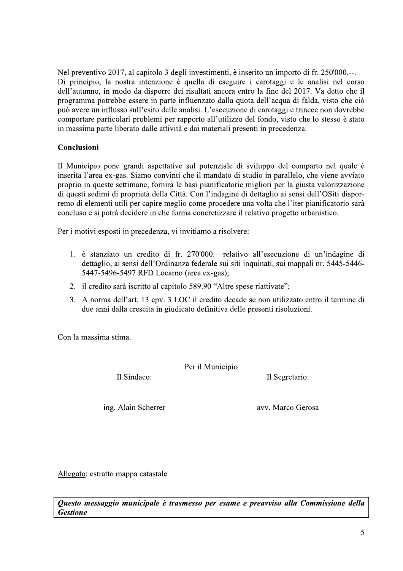Nel preventivo 2017, al capitolo 3 degli investimenti, è inserito un importo di fr. 250'000.--. Di principio, la nostra intenzione è quella di eseguire i carotaggi e le analisi nel corso dell'autunno, in modo da disporre dei risultati ancora entro la fine del 2017. Va detto che il programma potrebbe essere in parte influenzato dalla quota dell'acqua di falda, visto che ciò può avere un influsso sull'esito delle analisi. L'esecuzione di carotaggi e trincee non dovrebbe comportare particolari problemi per rapporto all'utilizzo del fondo, visto che lo stesso è stato in massima parte liberato dalle attività e dai materiali presenti in precedenza.

#### Conclusioni

Il Municipio pone grandi aspettative sul potenziale di sviluppo del comparto nel quale è inserita l'area ex-gas. Siamo convinti che il mandato di studio in parallelo, che viene avviato proprio in queste settimane, fornirà le basi pianificatorie migliori per la giusta valorizzazione di questi sedimi di proprietà della Città. Con l'indagine di dettaglio ai sensi dell'OSiti disporremo di elementi utili per capire meglio come procedere una volta che l'iter pianificatorio sarà concluso e si potrà decidere in che forma concretizzare il relativo progetto urbanistico.

Per i motivi esposti in precedenza, vi invitiamo a risolvere:

- 1. è stanziato un credito di fr. 270'000.—relativo all'esecuzione di un'indagine di dettaglio, ai sensi dell'Ordinanza federale sui siti inquinati, sui mappali nr. 5445-5446-5447-5496-5497 RFD Locarno (area ex-gas);
- 2. il credito sarà iscritto al capitolo 589.90 "Altre spese riattivate";
- 3. A norma dell'art. 13 cpv. 3 LOC il credito decade se non utilizzato entro il termine di due anni dalla crescita in giudicato definitiva delle presenti risoluzioni.

Con la massima stima.

Per il Municipio

Il Sindaco:

Il Segretario:

ing. Alain Scherrer

avy. Marco Gerosa

Allegato: estratto mappa catastale

Questo messaggio municipale è trasmesso per esame e preavviso alla Commissione della **Gestione**